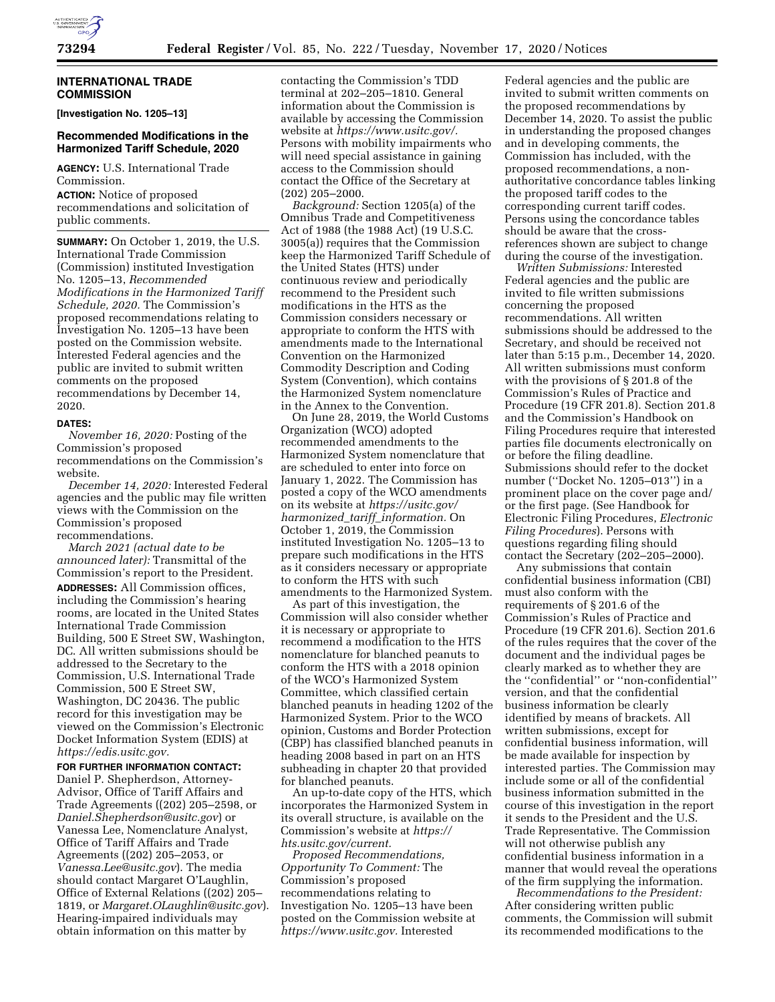

## **INTERNATIONAL TRADE COMMISSION**

**[Investigation No. 1205–13]** 

# **Recommended Modifications in the Harmonized Tariff Schedule, 2020**

**AGENCY:** U.S. International Trade Commission.

**ACTION:** Notice of proposed recommendations and solicitation of public comments.

**SUMMARY:** On October 1, 2019, the U.S. International Trade Commission (Commission) instituted Investigation No. 1205–13, *Recommended Modifications in the Harmonized Tariff Schedule, 2020.* The Commission's proposed recommendations relating to Investigation No. 1205–13 have been posted on the Commission website. Interested Federal agencies and the public are invited to submit written comments on the proposed recommendations by December 14, 2020.

#### **DATES:**

*November 16, 2020:* Posting of the Commission's proposed recommendations on the Commission's website.

*December 14, 2020:* Interested Federal agencies and the public may file written views with the Commission on the Commission's proposed recommendations.

*March 2021 (actual date to be announced later):* Transmittal of the Commission's report to the President. **ADDRESSES:** All Commission offices, including the Commission's hearing rooms, are located in the United States International Trade Commission Building, 500 E Street SW, Washington, DC. All written submissions should be addressed to the Secretary to the Commission, U.S. International Trade Commission, 500 E Street SW, Washington, DC 20436. The public record for this investigation may be viewed on the Commission's Electronic Docket Information System (EDIS) at *[https://edis.usitc.gov.](https://edis.usitc.gov)* 

# **FOR FURTHER INFORMATION CONTACT:**

Daniel P. Shepherdson, Attorney-Advisor, Office of Tariff Affairs and Trade Agreements ((202) 205–2598, or *[Daniel.Shepherdson@usitc.gov](mailto:Daniel.Shepherdson@usitc.gov)*) or Vanessa Lee, Nomenclature Analyst, Office of Tariff Affairs and Trade Agreements ((202) 205–2053, or *[Vanessa.Lee@usitc.gov](mailto:Vanessa.Lee@usitc.gov)*). The media should contact Margaret O'Laughlin, Office of External Relations ((202) 205– 1819, or *[Margaret.OLaughlin@usitc.gov](mailto:Margaret.OLaughlin@usitc.gov)*). Hearing-impaired individuals may obtain information on this matter by

contacting the Commission's TDD terminal at 202–205–1810. General information about the Commission is available by accessing the Commission website at *[https://www.usitc.gov/.](https://www.usitc.gov/)*  Persons with mobility impairments who will need special assistance in gaining access to the Commission should contact the Office of the Secretary at (202) 205–2000.

*Background:* Section 1205(a) of the Omnibus Trade and Competitiveness Act of 1988 (the 1988 Act) (19 U.S.C. 3005(a)) requires that the Commission keep the Harmonized Tariff Schedule of the United States (HTS) under continuous review and periodically recommend to the President such modifications in the HTS as the Commission considers necessary or appropriate to conform the HTS with amendments made to the International Convention on the Harmonized Commodity Description and Coding System (Convention), which contains the Harmonized System nomenclature in the Annex to the Convention.

On June 28, 2019, the World Customs Organization (WCO) adopted recommended amendments to the Harmonized System nomenclature that are scheduled to enter into force on January 1, 2022. The Commission has posted a copy of the WCO amendments on its website at *[https://usitc.gov/](https://usitc.gov/harmonized_tariff_information)  harmonized*\_*tariff*\_*[information.](https://usitc.gov/harmonized_tariff_information)* On October 1, 2019, the Commission instituted Investigation No. 1205–13 to prepare such modifications in the HTS as it considers necessary or appropriate to conform the HTS with such amendments to the Harmonized System.

As part of this investigation, the Commission will also consider whether it is necessary or appropriate to recommend a modification to the HTS nomenclature for blanched peanuts to conform the HTS with a 2018 opinion of the WCO's Harmonized System Committee, which classified certain blanched peanuts in heading 1202 of the Harmonized System. Prior to the WCO opinion, Customs and Border Protection (CBP) has classified blanched peanuts in heading 2008 based in part on an HTS subheading in chapter 20 that provided for blanched peanuts.

An up-to-date copy of the HTS, which incorporates the Harmonized System in its overall structure, is available on the Commission's website at *[https://](https://hts.usitc.gov/current) [hts.usitc.gov/current.](https://hts.usitc.gov/current)* 

*Proposed Recommendations, Opportunity To Comment:* The Commission's proposed recommendations relating to Investigation No. 1205–13 have been posted on the Commission website at *[https://www.usitc.gov.](https://www.usitc.gov)* Interested

Federal agencies and the public are invited to submit written comments on the proposed recommendations by December 14, 2020. To assist the public in understanding the proposed changes and in developing comments, the Commission has included, with the proposed recommendations, a nonauthoritative concordance tables linking the proposed tariff codes to the corresponding current tariff codes. Persons using the concordance tables should be aware that the crossreferences shown are subject to change during the course of the investigation.

*Written Submissions:* Interested Federal agencies and the public are invited to file written submissions concerning the proposed recommendations. All written submissions should be addressed to the Secretary, and should be received not later than 5:15 p.m., December 14, 2020. All written submissions must conform with the provisions of § 201.8 of the Commission's Rules of Practice and Procedure (19 CFR 201.8). Section 201.8 and the Commission's Handbook on Filing Procedures require that interested parties file documents electronically on or before the filing deadline. Submissions should refer to the docket number (''Docket No. 1205–013'') in a prominent place on the cover page and/ or the first page. (See Handbook for Electronic Filing Procedures, *Electronic Filing Procedures*). Persons with questions regarding filing should contact the Secretary (202–205–2000).

Any submissions that contain confidential business information (CBI) must also conform with the requirements of § 201.6 of the Commission's Rules of Practice and Procedure (19 CFR 201.6). Section 201.6 of the rules requires that the cover of the document and the individual pages be clearly marked as to whether they are the ''confidential'' or ''non-confidential'' version, and that the confidential business information be clearly identified by means of brackets. All written submissions, except for confidential business information, will be made available for inspection by interested parties. The Commission may include some or all of the confidential business information submitted in the course of this investigation in the report it sends to the President and the U.S. Trade Representative. The Commission will not otherwise publish any confidential business information in a manner that would reveal the operations of the firm supplying the information.

*Recommendations to the President:*  After considering written public comments, the Commission will submit its recommended modifications to the